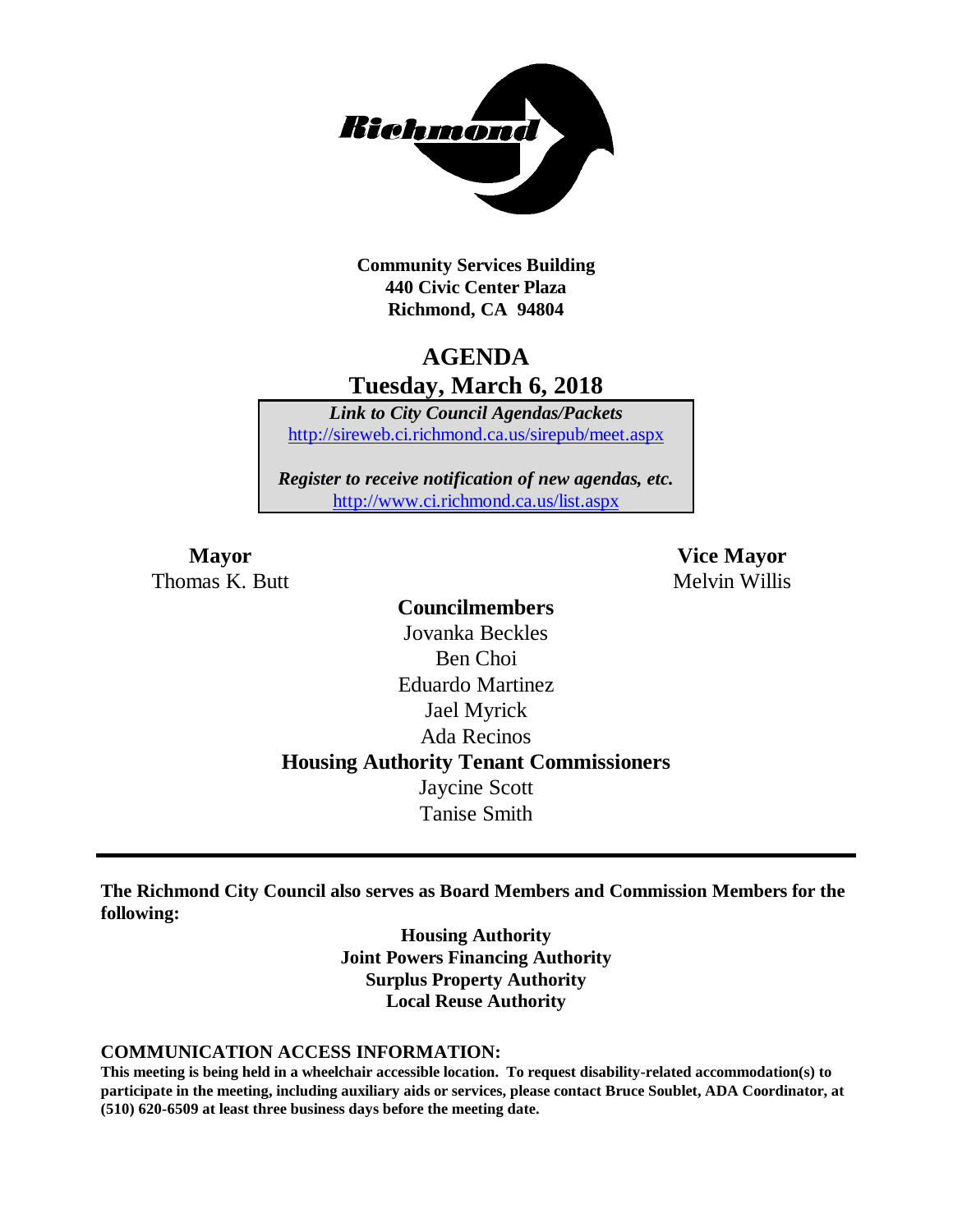

**Community Services Building 440 Civic Center Plaza Richmond, CA 94804**

### **AGENDA Tuesday, March 6, 2018**

*Link to City Council Agendas/Packets* <http://sireweb.ci.richmond.ca.us/sirepub/meet.aspx>

*Register to receive notification of new agendas, etc.* <http://www.ci.richmond.ca.us/list.aspx>

Thomas K. Butt Melvin Willis

**Mayor Vice Mayor**

**Councilmembers** Jovanka Beckles Ben Choi Eduardo Martinez Jael Myrick Ada Recinos **Housing Authority Tenant Commissioners** Jaycine Scott Tanise Smith

**The Richmond City Council also serves as Board Members and Commission Members for the following:**

> **Housing Authority Joint Powers Financing Authority Surplus Property Authority Local Reuse Authority**

#### **COMMUNICATION ACCESS INFORMATION:**

**This meeting is being held in a wheelchair accessible location. To request disability-related accommodation(s) to participate in the meeting, including auxiliary aids or services, please contact Bruce Soublet, ADA Coordinator, at (510) 620-6509 at least three business days before the meeting date.**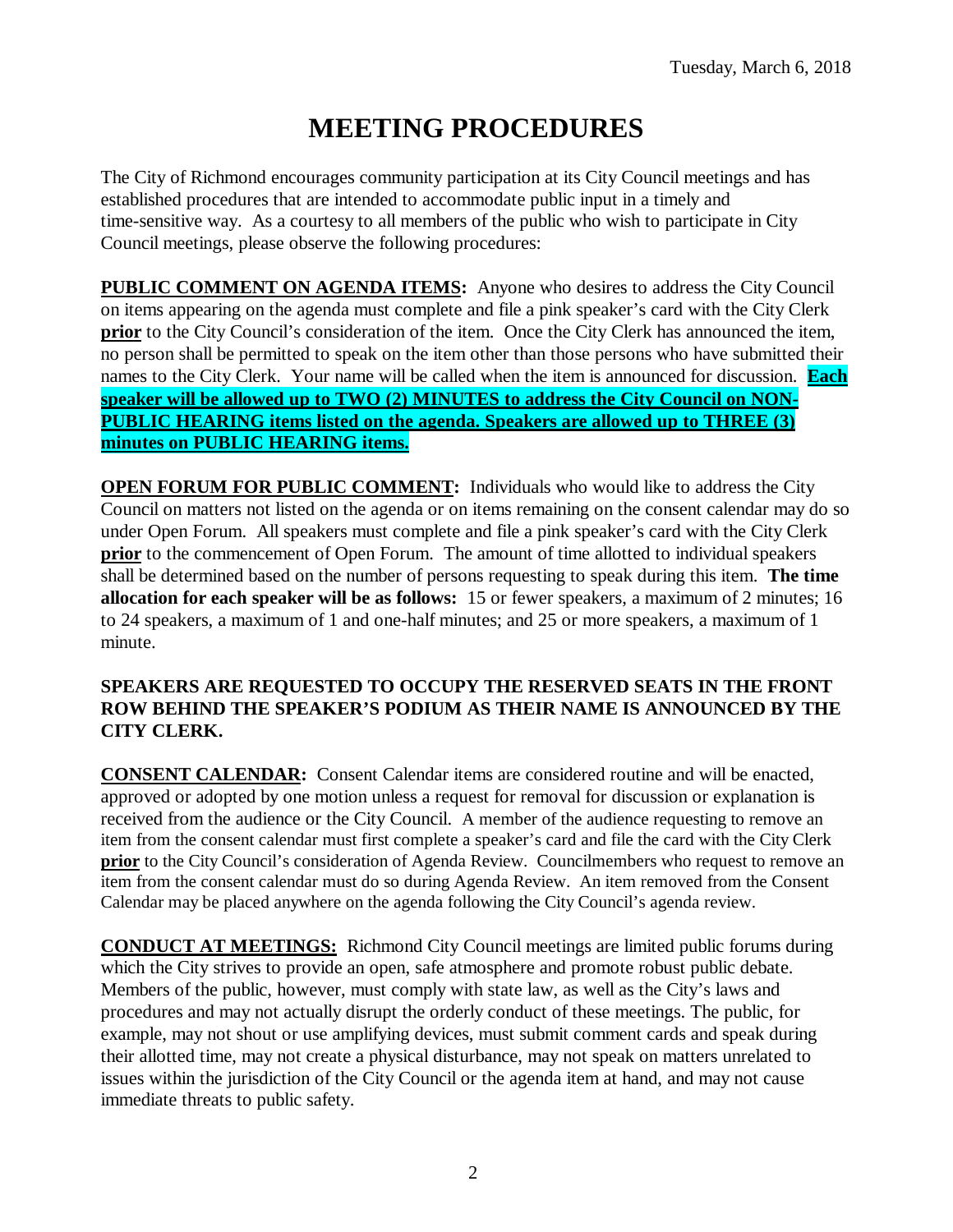# **MEETING PROCEDURES**

The City of Richmond encourages community participation at its City Council meetings and has established procedures that are intended to accommodate public input in a timely and time-sensitive way. As a courtesy to all members of the public who wish to participate in City Council meetings, please observe the following procedures:

**PUBLIC COMMENT ON AGENDA ITEMS:** Anyone who desires to address the City Council on items appearing on the agenda must complete and file a pink speaker's card with the City Clerk **prior** to the City Council's consideration of the item. Once the City Clerk has announced the item, no person shall be permitted to speak on the item other than those persons who have submitted their names to the City Clerk. Your name will be called when the item is announced for discussion. **Each speaker will be allowed up to TWO (2) MINUTES to address the City Council on NON-PUBLIC HEARING items listed on the agenda. Speakers are allowed up to THREE (3) minutes on PUBLIC HEARING items.**

**OPEN FORUM FOR PUBLIC COMMENT:** Individuals who would like to address the City Council on matters not listed on the agenda or on items remaining on the consent calendar may do so under Open Forum. All speakers must complete and file a pink speaker's card with the City Clerk **prior** to the commencement of Open Forum. The amount of time allotted to individual speakers shall be determined based on the number of persons requesting to speak during this item. **The time allocation for each speaker will be as follows:** 15 or fewer speakers, a maximum of 2 minutes; 16 to 24 speakers, a maximum of 1 and one-half minutes; and 25 or more speakers, a maximum of 1 minute.

#### **SPEAKERS ARE REQUESTED TO OCCUPY THE RESERVED SEATS IN THE FRONT ROW BEHIND THE SPEAKER'S PODIUM AS THEIR NAME IS ANNOUNCED BY THE CITY CLERK.**

**CONSENT CALENDAR:** Consent Calendar items are considered routine and will be enacted, approved or adopted by one motion unless a request for removal for discussion or explanation is received from the audience or the City Council. A member of the audience requesting to remove an item from the consent calendar must first complete a speaker's card and file the card with the City Clerk **prior** to the City Council's consideration of Agenda Review. Councilmembers who request to remove an item from the consent calendar must do so during Agenda Review. An item removed from the Consent Calendar may be placed anywhere on the agenda following the City Council's agenda review.

**CONDUCT AT MEETINGS:** Richmond City Council meetings are limited public forums during which the City strives to provide an open, safe atmosphere and promote robust public debate. Members of the public, however, must comply with state law, as well as the City's laws and procedures and may not actually disrupt the orderly conduct of these meetings. The public, for example, may not shout or use amplifying devices, must submit comment cards and speak during their allotted time, may not create a physical disturbance, may not speak on matters unrelated to issues within the jurisdiction of the City Council or the agenda item at hand, and may not cause immediate threats to public safety.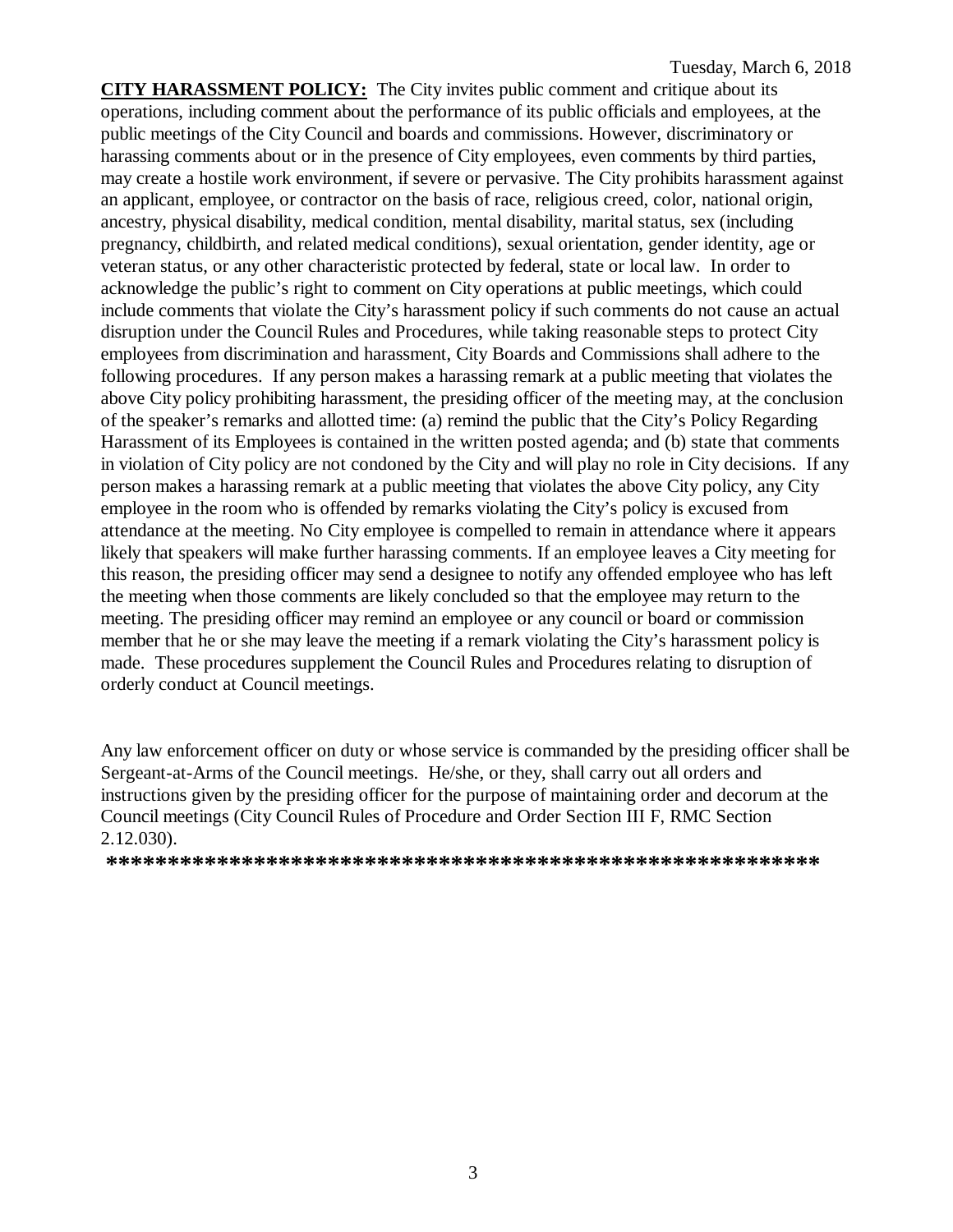**CITY HARASSMENT POLICY:** The City invites public comment and critique about its operations, including comment about the performance of its public officials and employees, at the public meetings of the City Council and boards and commissions. However, discriminatory or harassing comments about or in the presence of City employees, even comments by third parties, may create a hostile work environment, if severe or pervasive. The City prohibits harassment against an applicant, employee, or contractor on the basis of race, religious creed, color, national origin, ancestry, physical disability, medical condition, mental disability, marital status, sex (including pregnancy, childbirth, and related medical conditions), sexual orientation, gender identity, age or veteran status, or any other characteristic protected by federal, state or local law. In order to acknowledge the public's right to comment on City operations at public meetings, which could include comments that violate the City's harassment policy if such comments do not cause an actual disruption under the Council Rules and Procedures, while taking reasonable steps to protect City employees from discrimination and harassment, City Boards and Commissions shall adhere to the following procedures. If any person makes a harassing remark at a public meeting that violates the above City policy prohibiting harassment, the presiding officer of the meeting may, at the conclusion of the speaker's remarks and allotted time: (a) remind the public that the City's Policy Regarding Harassment of its Employees is contained in the written posted agenda; and (b) state that comments in violation of City policy are not condoned by the City and will play no role in City decisions. If any person makes a harassing remark at a public meeting that violates the above City policy, any City employee in the room who is offended by remarks violating the City's policy is excused from attendance at the meeting. No City employee is compelled to remain in attendance where it appears likely that speakers will make further harassing comments. If an employee leaves a City meeting for this reason, the presiding officer may send a designee to notify any offended employee who has left the meeting when those comments are likely concluded so that the employee may return to the meeting. The presiding officer may remind an employee or any council or board or commission member that he or she may leave the meeting if a remark violating the City's harassment policy is made. These procedures supplement the Council Rules and Procedures relating to disruption of orderly conduct at Council meetings.

Any law enforcement officer on duty or whose service is commanded by the presiding officer shall be Sergeant-at-Arms of the Council meetings. He/she, or they, shall carry out all orders and instructions given by the presiding officer for the purpose of maintaining order and decorum at the Council meetings (City Council Rules of Procedure and Order Section III F, RMC Section 2.12.030).

**\*\*\*\*\*\*\*\*\*\*\*\*\*\*\*\*\*\*\*\*\*\*\*\*\*\*\*\*\*\*\*\*\*\*\*\*\*\*\*\*\*\*\*\*\*\*\*\*\*\*\*\*\*\*\*\*\*\***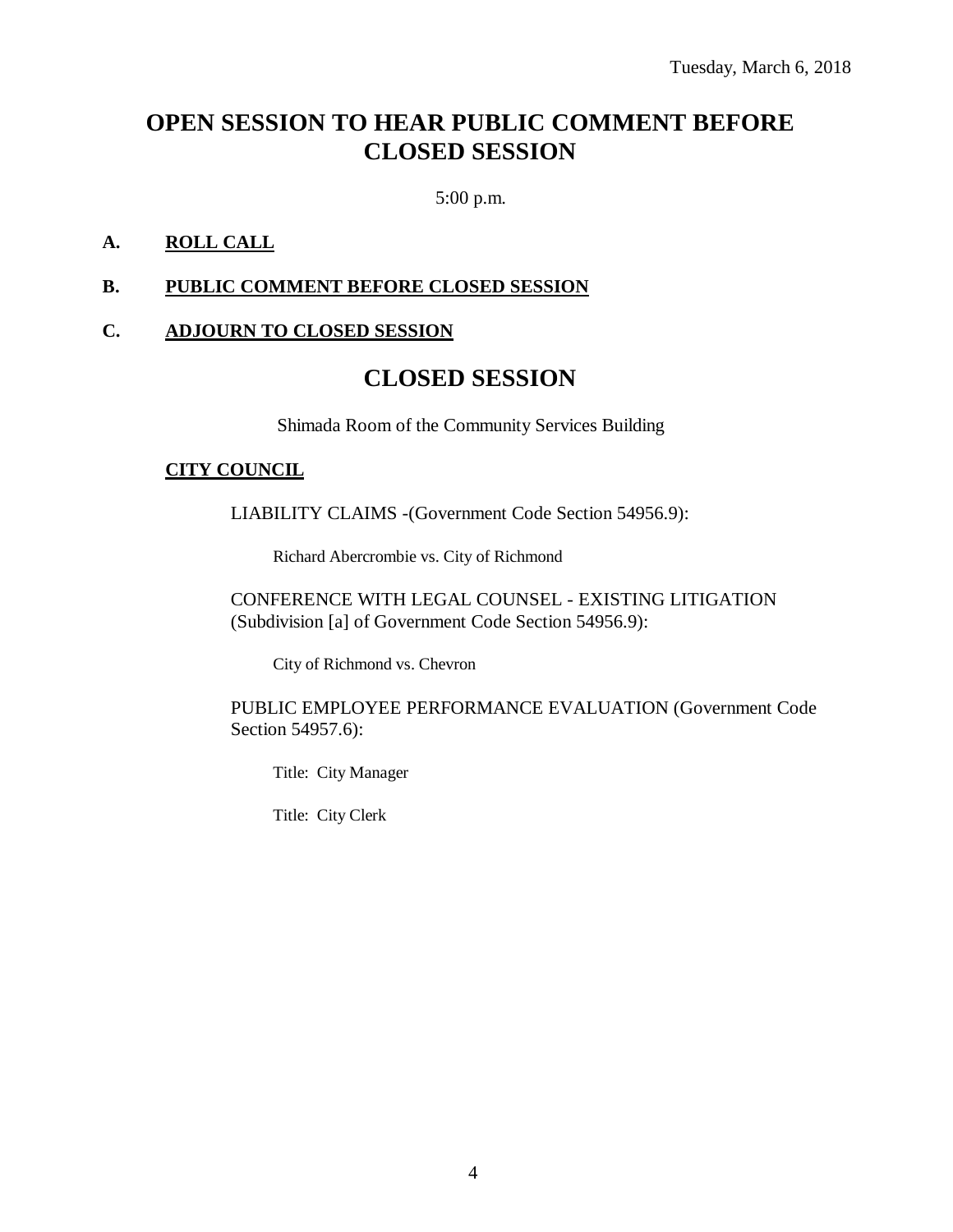## **OPEN SESSION TO HEAR PUBLIC COMMENT BEFORE CLOSED SESSION**

5:00 p.m.

#### **A. ROLL CALL**

#### **B. PUBLIC COMMENT BEFORE CLOSED SESSION**

#### **C. ADJOURN TO CLOSED SESSION**

### **CLOSED SESSION**

Shimada Room of the Community Services Building

#### **CITY COUNCIL**

LIABILITY CLAIMS -(Government Code Section 54956.9):

Richard Abercrombie vs. City of Richmond

CONFERENCE WITH LEGAL COUNSEL - EXISTING LITIGATION (Subdivision [a] of Government Code Section 54956.9):

City of Richmond vs. Chevron

PUBLIC EMPLOYEE PERFORMANCE EVALUATION (Government Code Section 54957.6):

Title: City Manager

Title: City Clerk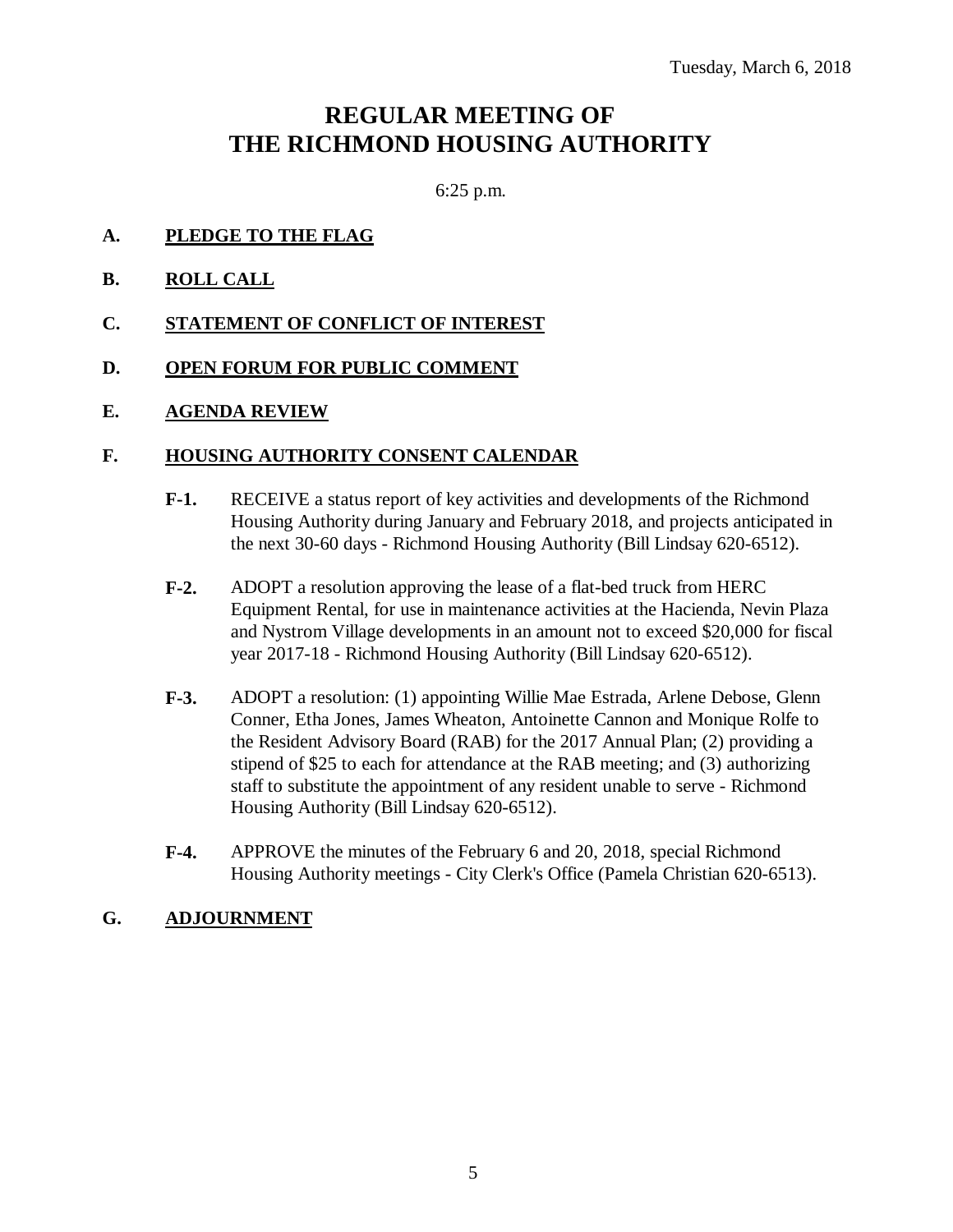### **REGULAR MEETING OF THE RICHMOND HOUSING AUTHORITY**

6:25 p.m.

#### **A. PLEDGE TO THE FLAG**

**B. ROLL CALL**

#### **C. STATEMENT OF CONFLICT OF INTEREST**

#### **D. OPEN FORUM FOR PUBLIC COMMENT**

#### **E. AGENDA REVIEW**

#### **F. HOUSING AUTHORITY CONSENT CALENDAR**

- **F-1.** RECEIVE a status report of key activities and developments of the Richmond Housing Authority during January and February 2018, and projects anticipated in the next 30-60 days - Richmond Housing Authority (Bill Lindsay 620-6512).
- **F-2.** ADOPT a resolution approving the lease of a flat-bed truck from HERC Equipment Rental, for use in maintenance activities at the Hacienda, Nevin Plaza and Nystrom Village developments in an amount not to exceed \$20,000 for fiscal year 2017-18 - Richmond Housing Authority (Bill Lindsay 620-6512).
- **F-3.** ADOPT a resolution: (1) appointing Willie Mae Estrada, Arlene Debose, Glenn Conner, Etha Jones, James Wheaton, Antoinette Cannon and Monique Rolfe to the Resident Advisory Board (RAB) for the 2017 Annual Plan; (2) providing a stipend of \$25 to each for attendance at the RAB meeting; and (3) authorizing staff to substitute the appointment of any resident unable to serve - Richmond Housing Authority (Bill Lindsay 620-6512).
- **F-4.** APPROVE the minutes of the February 6 and 20, 2018, special Richmond Housing Authority meetings - City Clerk's Office (Pamela Christian 620-6513).

#### **G. ADJOURNMENT**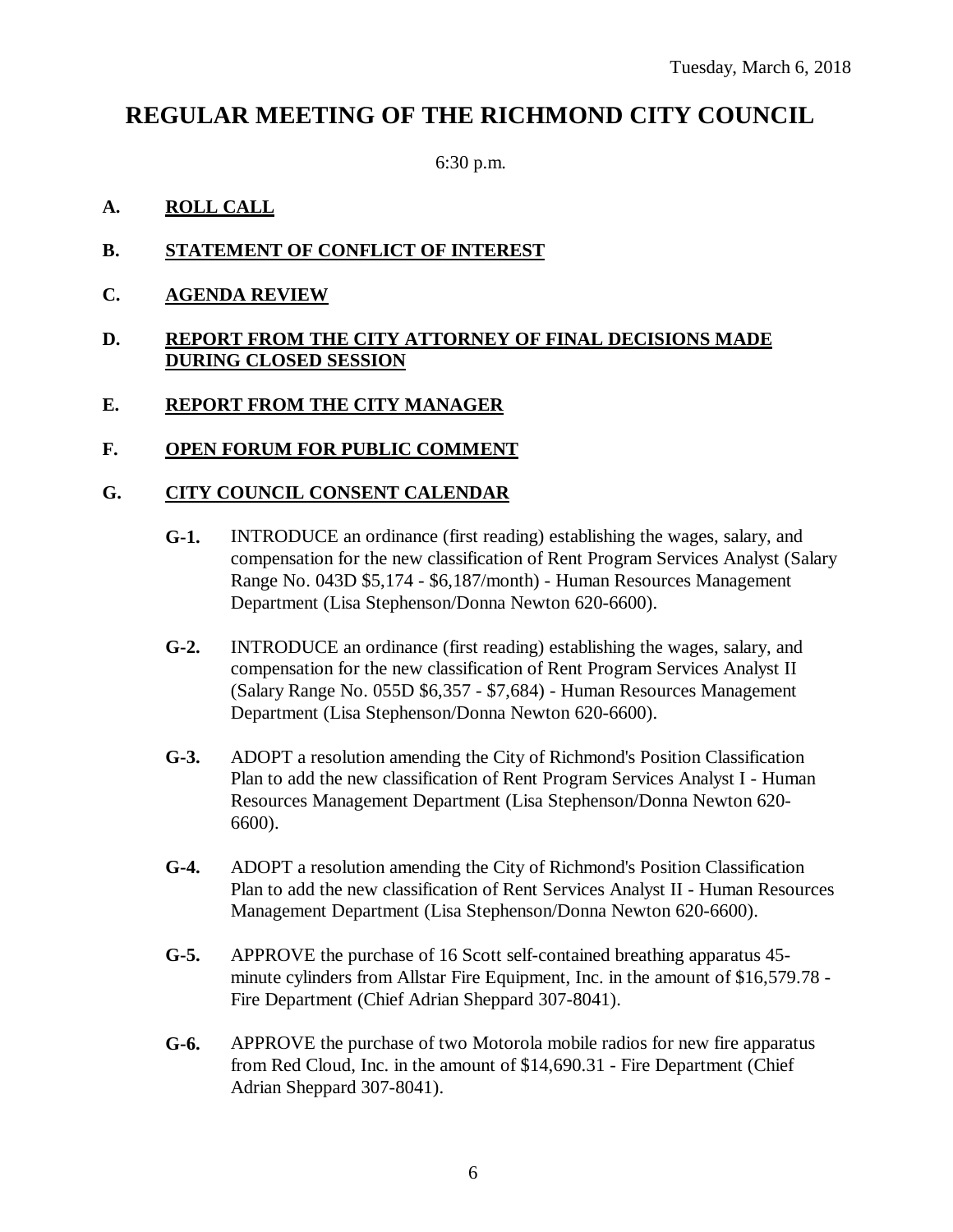### **REGULAR MEETING OF THE RICHMOND CITY COUNCIL**

6:30 p.m.

#### **A. ROLL CALL**

- **B. STATEMENT OF CONFLICT OF INTEREST**
- **C. AGENDA REVIEW**

#### **D. REPORT FROM THE CITY ATTORNEY OF FINAL DECISIONS MADE DURING CLOSED SESSION**

#### **E. REPORT FROM THE CITY MANAGER**

#### **F. OPEN FORUM FOR PUBLIC COMMENT**

#### **G. CITY COUNCIL CONSENT CALENDAR**

- **G-1.** INTRODUCE an ordinance (first reading) establishing the wages, salary, and compensation for the new classification of Rent Program Services Analyst (Salary Range No. 043D \$5,174 - \$6,187/month) - Human Resources Management Department (Lisa Stephenson/Donna Newton 620-6600).
- **G-2.** INTRODUCE an ordinance (first reading) establishing the wages, salary, and compensation for the new classification of Rent Program Services Analyst II (Salary Range No. 055D \$6,357 - \$7,684) - Human Resources Management Department (Lisa Stephenson/Donna Newton 620-6600).
- **G-3.** ADOPT a resolution amending the City of Richmond's Position Classification Plan to add the new classification of Rent Program Services Analyst I - Human Resources Management Department (Lisa Stephenson/Donna Newton 620- 6600).
- **G-4.** ADOPT a resolution amending the City of Richmond's Position Classification Plan to add the new classification of Rent Services Analyst II - Human Resources Management Department (Lisa Stephenson/Donna Newton 620-6600).
- **G-5.** APPROVE the purchase of 16 Scott self-contained breathing apparatus 45 minute cylinders from Allstar Fire Equipment, Inc. in the amount of \$16,579.78 - Fire Department (Chief Adrian Sheppard 307-8041).
- **G-6.** APPROVE the purchase of two Motorola mobile radios for new fire apparatus from Red Cloud, Inc. in the amount of \$14,690.31 - Fire Department (Chief Adrian Sheppard 307-8041).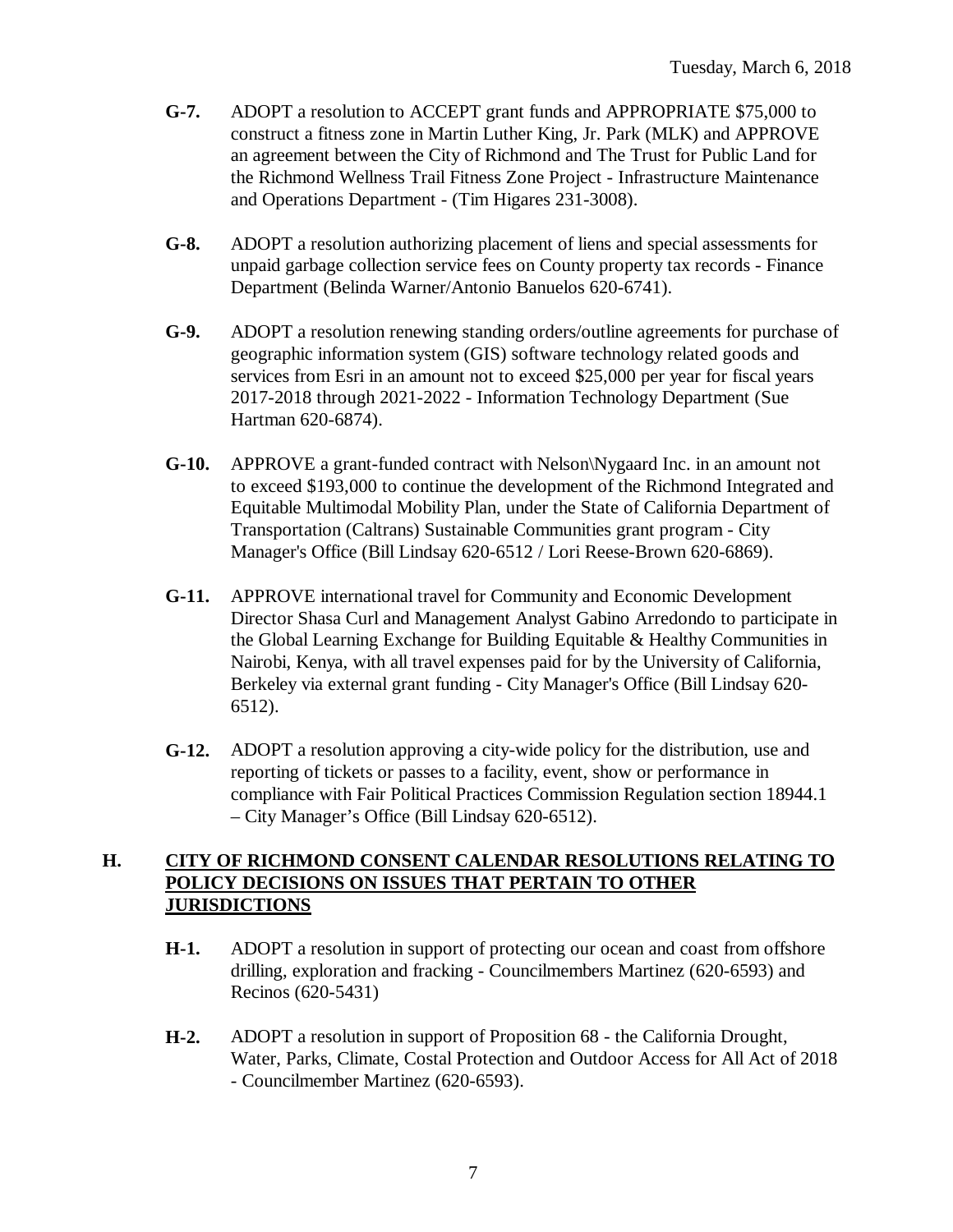- **G-7.** ADOPT a resolution to ACCEPT grant funds and APPROPRIATE \$75,000 to construct a fitness zone in Martin Luther King, Jr. Park (MLK) and APPROVE an agreement between the City of Richmond and The Trust for Public Land for the Richmond Wellness Trail Fitness Zone Project - Infrastructure Maintenance and Operations Department - (Tim Higares 231-3008).
- **G-8.** ADOPT a resolution authorizing placement of liens and special assessments for unpaid garbage collection service fees on County property tax records - Finance Department (Belinda Warner/Antonio Banuelos 620-6741).
- **G-9.** ADOPT a resolution renewing standing orders/outline agreements for purchase of geographic information system (GIS) software technology related goods and services from Esri in an amount not to exceed \$25,000 per year for fiscal years 2017-2018 through 2021-2022 - Information Technology Department (Sue Hartman 620-6874).
- **G-10.** APPROVE a grant-funded contract with Nelson\Nygaard Inc. in an amount not to exceed \$193,000 to continue the development of the Richmond Integrated and Equitable Multimodal Mobility Plan, under the State of California Department of Transportation (Caltrans) Sustainable Communities grant program - City Manager's Office (Bill Lindsay 620-6512 / Lori Reese-Brown 620-6869).
- **G-11.** APPROVE international travel for Community and Economic Development Director Shasa Curl and Management Analyst Gabino Arredondo to participate in the Global Learning Exchange for Building Equitable & Healthy Communities in Nairobi, Kenya, with all travel expenses paid for by the University of California, Berkeley via external grant funding - City Manager's Office (Bill Lindsay 620- 6512).
- **G-12.** ADOPT a resolution approving a city-wide policy for the distribution, use and reporting of tickets or passes to a facility, event, show or performance in compliance with Fair Political Practices Commission Regulation section 18944.1 – City Manager's Office (Bill Lindsay 620-6512).

#### **H. CITY OF RICHMOND CONSENT CALENDAR RESOLUTIONS RELATING TO POLICY DECISIONS ON ISSUES THAT PERTAIN TO OTHER JURISDICTIONS**

- **H-1.** ADOPT a resolution in support of protecting our ocean and coast from offshore drilling, exploration and fracking - Councilmembers Martinez (620-6593) and Recinos (620-5431)
- **H-2.** ADOPT a resolution in support of Proposition 68 the California Drought, Water, Parks, Climate, Costal Protection and Outdoor Access for All Act of 2018 - Councilmember Martinez (620-6593).